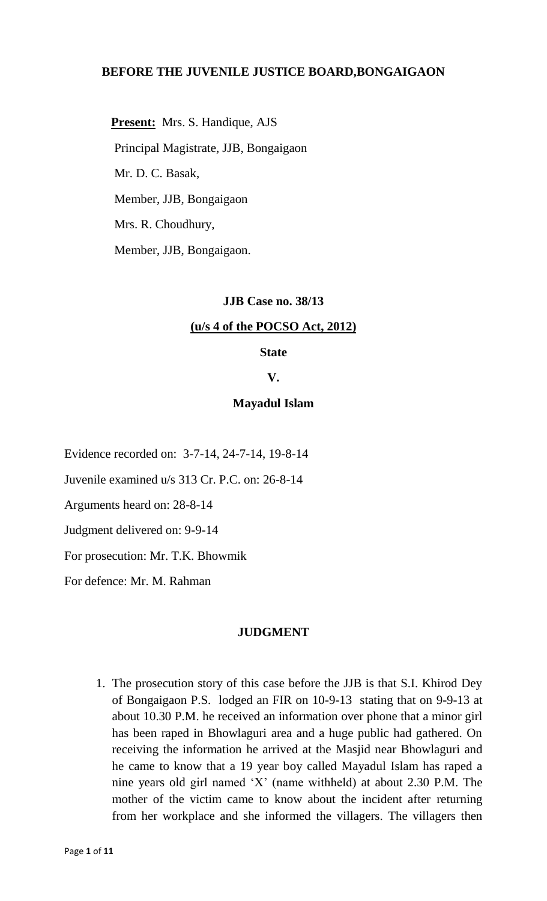### **BEFORE THE JUVENILE JUSTICE BOARD,BONGAIGAON**

 **Present:** Mrs. S. Handique, AJS Principal Magistrate, JJB, Bongaigaon Mr. D. C. Basak, Member, JJB, Bongaigaon Mrs. R. Choudhury, Member, JJB, Bongaigaon.

### **JJB Case no. 38/13**

#### **(u/s 4 of the POCSO Act, 2012)**

#### **State**

## **V.**

#### **Mayadul Islam**

Evidence recorded on: 3-7-14, 24-7-14, 19-8-14

Juvenile examined u/s 313 Cr. P.C. on: 26-8-14

Arguments heard on: 28-8-14

Judgment delivered on: 9-9-14

For prosecution: Mr. T.K. Bhowmik

For defence: Mr. M. Rahman

### **JUDGMENT**

1. The prosecution story of this case before the JJB is that S.I. Khirod Dey of Bongaigaon P.S. lodged an FIR on 10-9-13 stating that on 9-9-13 at about 10.30 P.M. he received an information over phone that a minor girl has been raped in Bhowlaguri area and a huge public had gathered. On receiving the information he arrived at the Masjid near Bhowlaguri and he came to know that a 19 year boy called Mayadul Islam has raped a nine years old girl named "X" (name withheld) at about 2.30 P.M. The mother of the victim came to know about the incident after returning from her workplace and she informed the villagers. The villagers then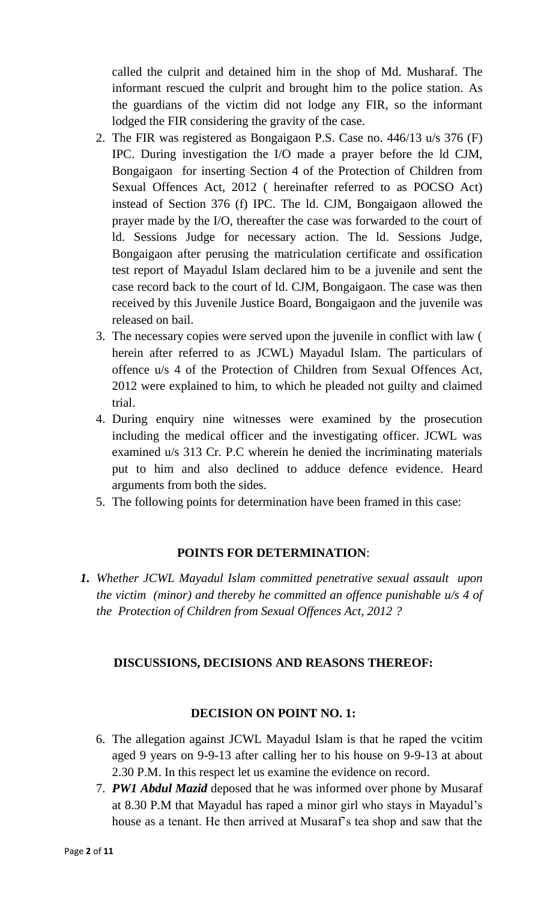called the culprit and detained him in the shop of Md. Musharaf. The informant rescued the culprit and brought him to the police station. As the guardians of the victim did not lodge any FIR, so the informant lodged the FIR considering the gravity of the case.

- 2. The FIR was registered as Bongaigaon P.S. Case no. 446/13 u/s 376 (F) IPC. During investigation the I/O made a prayer before the ld CJM, Bongaigaon for inserting Section 4 of the Protection of Children from Sexual Offences Act, 2012 ( hereinafter referred to as POCSO Act) instead of Section 376 (f) IPC. The ld. CJM, Bongaigaon allowed the prayer made by the I/O, thereafter the case was forwarded to the court of ld. Sessions Judge for necessary action. The ld. Sessions Judge, Bongaigaon after perusing the matriculation certificate and ossification test report of Mayadul Islam declared him to be a juvenile and sent the case record back to the court of ld. CJM, Bongaigaon. The case was then received by this Juvenile Justice Board, Bongaigaon and the juvenile was released on bail.
- 3. The necessary copies were served upon the juvenile in conflict with law ( herein after referred to as JCWL) Mayadul Islam. The particulars of offence u/s 4 of the Protection of Children from Sexual Offences Act, 2012 were explained to him, to which he pleaded not guilty and claimed trial.
- 4. During enquiry nine witnesses were examined by the prosecution including the medical officer and the investigating officer. JCWL was examined u/s 313 Cr. P.C wherein he denied the incriminating materials put to him and also declined to adduce defence evidence. Heard arguments from both the sides.
- 5. The following points for determination have been framed in this case:

# **POINTS FOR DETERMINATION**:

*1. Whether JCWL Mayadul Islam committed penetrative sexual assault upon the victim (minor) and thereby he committed an offence punishable u/s 4 of the Protection of Children from Sexual Offences Act, 2012 ?*

# **DISCUSSIONS, DECISIONS AND REASONS THEREOF:**

## **DECISION ON POINT NO. 1:**

- 6. The allegation against JCWL Mayadul Islam is that he raped the vcitim aged 9 years on 9-9-13 after calling her to his house on 9-9-13 at about 2.30 P.M. In this respect let us examine the evidence on record.
- 7. *PW1 Abdul Mazid* deposed that he was informed over phone by Musaraf at 8.30 P.M that Mayadul has raped a minor girl who stays in Mayadul"s house as a tenant. He then arrived at Musaraf"s tea shop and saw that the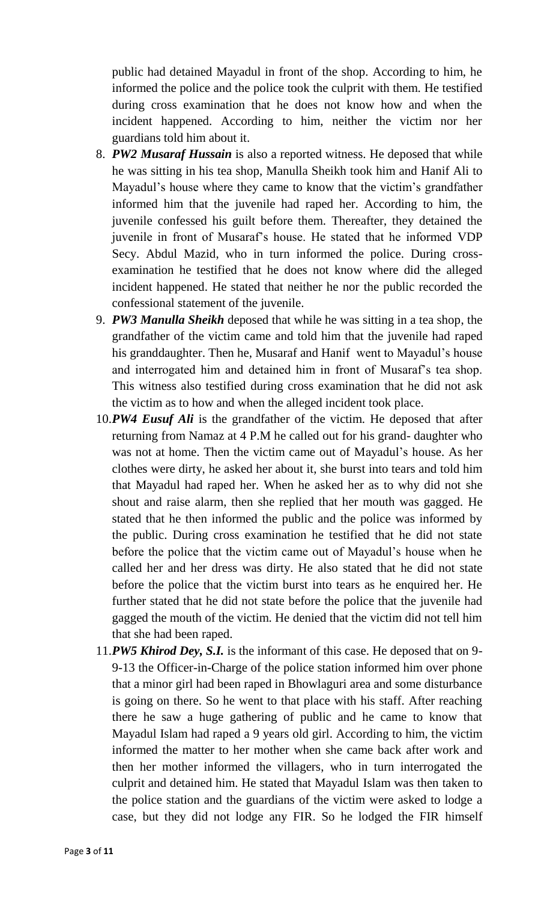public had detained Mayadul in front of the shop. According to him, he informed the police and the police took the culprit with them. He testified during cross examination that he does not know how and when the incident happened. According to him, neither the victim nor her guardians told him about it.

- 8. *PW2 Musaraf Hussain* is also a reported witness. He deposed that while he was sitting in his tea shop, Manulla Sheikh took him and Hanif Ali to Mayadul's house where they came to know that the victim's grandfather informed him that the juvenile had raped her. According to him, the juvenile confessed his guilt before them. Thereafter, they detained the juvenile in front of Musaraf"s house. He stated that he informed VDP Secy. Abdul Mazid, who in turn informed the police. During crossexamination he testified that he does not know where did the alleged incident happened. He stated that neither he nor the public recorded the confessional statement of the juvenile.
- 9. *PW3 Manulla Sheikh* deposed that while he was sitting in a tea shop, the grandfather of the victim came and told him that the juvenile had raped his granddaughter. Then he, Musaraf and Hanif went to Mayadul's house and interrogated him and detained him in front of Musaraf"s tea shop. This witness also testified during cross examination that he did not ask the victim as to how and when the alleged incident took place.
- 10.*PW4 Eusuf Ali* is the grandfather of the victim. He deposed that after returning from Namaz at 4 P.M he called out for his grand- daughter who was not at home. Then the victim came out of Mayadul's house. As her clothes were dirty, he asked her about it, she burst into tears and told him that Mayadul had raped her. When he asked her as to why did not she shout and raise alarm, then she replied that her mouth was gagged. He stated that he then informed the public and the police was informed by the public. During cross examination he testified that he did not state before the police that the victim came out of Mayadul"s house when he called her and her dress was dirty. He also stated that he did not state before the police that the victim burst into tears as he enquired her. He further stated that he did not state before the police that the juvenile had gagged the mouth of the victim. He denied that the victim did not tell him that she had been raped.
- 11.*PW5 Khirod Dey, S.I.* is the informant of this case. He deposed that on 9- 9-13 the Officer-in-Charge of the police station informed him over phone that a minor girl had been raped in Bhowlaguri area and some disturbance is going on there. So he went to that place with his staff. After reaching there he saw a huge gathering of public and he came to know that Mayadul Islam had raped a 9 years old girl. According to him, the victim informed the matter to her mother when she came back after work and then her mother informed the villagers, who in turn interrogated the culprit and detained him. He stated that Mayadul Islam was then taken to the police station and the guardians of the victim were asked to lodge a case, but they did not lodge any FIR. So he lodged the FIR himself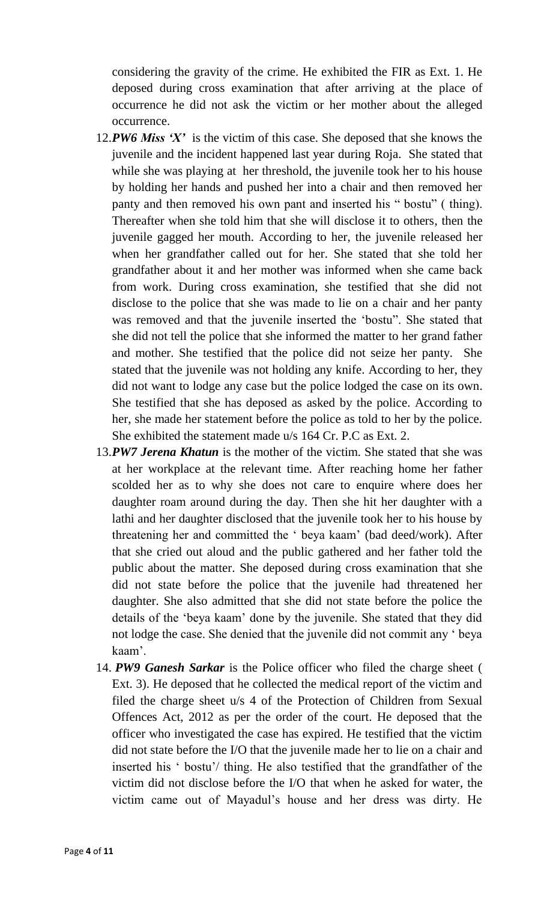considering the gravity of the crime. He exhibited the FIR as Ext. 1. He deposed during cross examination that after arriving at the place of occurrence he did not ask the victim or her mother about the alleged occurrence.

- 12.*PW6 Miss 'X'* is the victim of this case. She deposed that she knows the juvenile and the incident happened last year during Roja. She stated that while she was playing at her threshold, the juvenile took her to his house by holding her hands and pushed her into a chair and then removed her panty and then removed his own pant and inserted his " bostu" ( thing). Thereafter when she told him that she will disclose it to others, then the juvenile gagged her mouth. According to her, the juvenile released her when her grandfather called out for her. She stated that she told her grandfather about it and her mother was informed when she came back from work. During cross examination, she testified that she did not disclose to the police that she was made to lie on a chair and her panty was removed and that the juvenile inserted the "bostu". She stated that she did not tell the police that she informed the matter to her grand father and mother. She testified that the police did not seize her panty. She stated that the juvenile was not holding any knife. According to her, they did not want to lodge any case but the police lodged the case on its own. She testified that she has deposed as asked by the police. According to her, she made her statement before the police as told to her by the police. She exhibited the statement made u/s 164 Cr. P.C as Ext. 2.
- 13.*PW7 Jerena Khatun* is the mother of the victim. She stated that she was at her workplace at the relevant time. After reaching home her father scolded her as to why she does not care to enquire where does her daughter roam around during the day. Then she hit her daughter with a lathi and her daughter disclosed that the juvenile took her to his house by threatening her and committed the " beya kaam" (bad deed/work). After that she cried out aloud and the public gathered and her father told the public about the matter. She deposed during cross examination that she did not state before the police that the juvenile had threatened her daughter. She also admitted that she did not state before the police the details of the "beya kaam" done by the juvenile. She stated that they did not lodge the case. She denied that the juvenile did not commit any " beya kaam".
- 14. *PW9 Ganesh Sarkar* is the Police officer who filed the charge sheet ( Ext. 3). He deposed that he collected the medical report of the victim and filed the charge sheet u/s 4 of the Protection of Children from Sexual Offences Act, 2012 as per the order of the court. He deposed that the officer who investigated the case has expired. He testified that the victim did not state before the I/O that the juvenile made her to lie on a chair and inserted his " bostu"/ thing. He also testified that the grandfather of the victim did not disclose before the I/O that when he asked for water, the victim came out of Mayadul"s house and her dress was dirty. He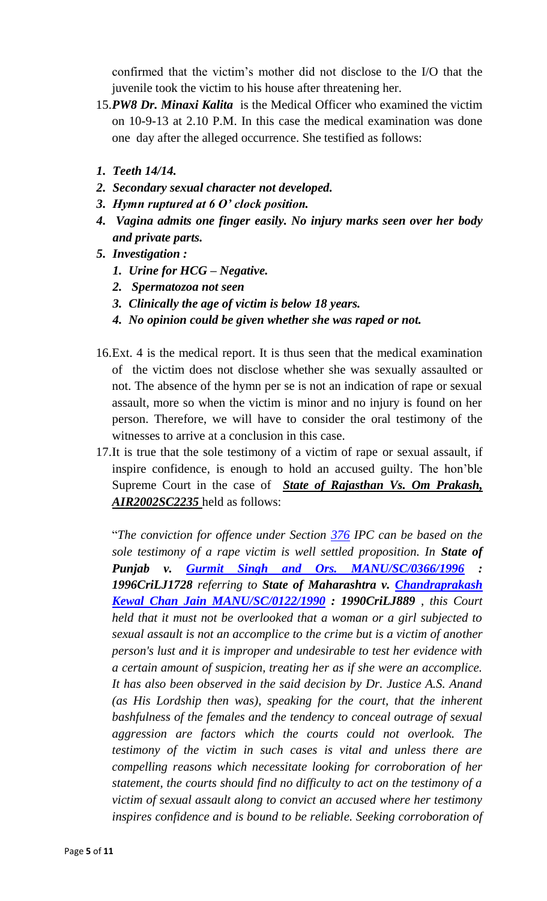confirmed that the victim"s mother did not disclose to the I/O that the juvenile took the victim to his house after threatening her.

- 15.*PW8 Dr. Minaxi Kalita* is the Medical Officer who examined the victim on 10-9-13 at 2.10 P.M. In this case the medical examination was done one day after the alleged occurrence. She testified as follows:
- *1. Teeth 14/14.*
- *2. Secondary sexual character not developed.*
- *3. Hymn ruptured at 6 O' clock position.*
- *4. Vagina admits one finger easily. No injury marks seen over her body and private parts.*
- *5. Investigation :* 
	- *1. Urine for HCG – Negative.*
	- *2. Spermatozoa not seen*
	- *3. Clinically the age of victim is below 18 years.*
	- *4. No opinion could be given whether she was raped or not.*
- 16.Ext. 4 is the medical report. It is thus seen that the medical examination of the victim does not disclose whether she was sexually assaulted or not. The absence of the hymn per se is not an indication of rape or sexual assault, more so when the victim is minor and no injury is found on her person. Therefore, we will have to consider the oral testimony of the witnesses to arrive at a conclusion in this case.
- 17.It is true that the sole testimony of a victim of rape or sexual assault, if inspire confidence, is enough to hold an accused guilty. The hon"ble Supreme Court in the case of *State of Rajasthan Vs. Om Prakash, AIR2002SC2235* held as follows:

"*The conviction for offence under Section [376](javascript:fnOpenGlobalPopUp() IPC can be based on the sole testimony of a rape victim is well settled proposition. In State of Punjab v. [Gurmit Singh and Ors. MANU/SC/0366/1996](javascript:fnOpenGlobalPopUp() : 1996CriLJ1728 referring to State of Maharashtra v. [Chandraprakash](javascript:fnOpenGlobalPopUp()  [Kewal Chan Jain MANU/SC/0122/1990](javascript:fnOpenGlobalPopUp() : 1990CriLJ889 , this Court held that it must not be overlooked that a woman or a girl subjected to sexual assault is not an accomplice to the crime but is a victim of another person's lust and it is improper and undesirable to test her evidence with a certain amount of suspicion, treating her as if she were an accomplice. It has also been observed in the said decision by Dr. Justice A.S. Anand (as His Lordship then was), speaking for the court, that the inherent bashfulness of the females and the tendency to conceal outrage of sexual aggression are factors which the courts could not overlook. The testimony of the victim in such cases is vital and unless there are compelling reasons which necessitate looking for corroboration of her statement, the courts should find no difficulty to act on the testimony of a victim of sexual assault along to convict an accused where her testimony inspires confidence and is bound to be reliable. Seeking corroboration of*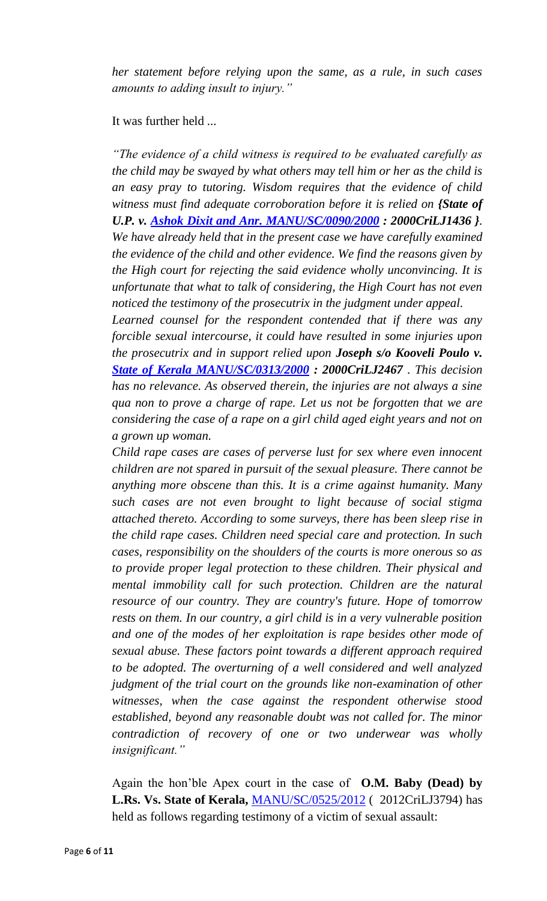*her statement before relying upon the same, as a rule, in such cases amounts to adding insult to injury."*

## It was further held *...*

*"The evidence of a child witness is required to be evaluated carefully as the child may be swayed by what others may tell him or her as the child is an easy pray to tutoring. Wisdom requires that the evidence of child witness must find adequate corroboration before it is relied on {State of U.P. v. [Ashok Dixit and Anr. MANU/SC/0090/2000](javascript:fnOpenGlobalPopUp() : 2000CriLJ1436 }. We have already held that in the present case we have carefully examined the evidence of the child and other evidence. We find the reasons given by the High court for rejecting the said evidence wholly unconvincing. It is unfortunate that what to talk of considering, the High Court has not even noticed the testimony of the prosecutrix in the judgment under appeal.*

*Learned counsel for the respondent contended that if there was any forcible sexual intercourse, it could have resulted in some injuries upon the prosecutrix and in support relied upon Joseph s/o Kooveli Poulo v. [State of Kerala MANU/SC/0313/2000](javascript:fnOpenGlobalPopUp() : 2000CriLJ2467 . This decision has no relevance. As observed therein, the injuries are not always a sine qua non to prove a charge of rape. Let us not be forgotten that we are considering the case of a rape on a girl child aged eight years and not on a grown up woman.*

*Child rape cases are cases of perverse lust for sex where even innocent children are not spared in pursuit of the sexual pleasure. There cannot be anything more obscene than this. It is a crime against humanity. Many such cases are not even brought to light because of social stigma attached thereto. According to some surveys, there has been sleep rise in the child rape cases. Children need special care and protection. In such cases, responsibility on the shoulders of the courts is more onerous so as to provide proper legal protection to these children. Their physical and mental immobility call for such protection. Children are the natural resource of our country. They are country's future. Hope of tomorrow rests on them. In our country, a girl child is in a very vulnerable position and one of the modes of her exploitation is rape besides other mode of sexual abuse. These factors point towards a different approach required to be adopted. The overturning of a well considered and well analyzed judgment of the trial court on the grounds like non-examination of other witnesses, when the case against the respondent otherwise stood established, beyond any reasonable doubt was not called for. The minor contradiction of recovery of one or two underwear was wholly insignificant."*

Again the hon"ble Apex court in the case of **O.M. Baby (Dead) by L.Rs. Vs. State of Kerala,** [MANU/SC/0525/2012](javascript:fnCitation() ( 2012CriLJ3794) has held as follows regarding testimony of a victim of sexual assault: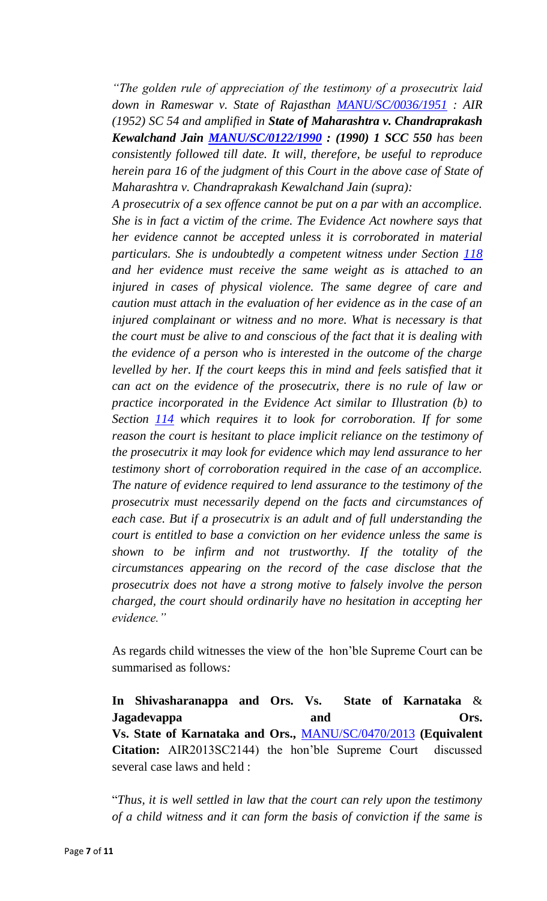*"The golden rule of appreciation of the testimony of a prosecutrix laid down in Rameswar v. State of Rajasthan [MANU/SC/0036/1951](javascript:fnOpenGlobalPopUp() : AIR (1952) SC 54 and amplified in State of Maharashtra v. Chandraprakash Kewalchand Jain [MANU/SC/0122/1990](javascript:fnOpenGlobalPopUp() : (1990) 1 SCC 550 has been consistently followed till date. It will, therefore, be useful to reproduce herein para 16 of the judgment of this Court in the above case of State of Maharashtra v. Chandraprakash Kewalchand Jain (supra):*

*A prosecutrix of a sex offence cannot be put on a par with an accomplice. She is in fact a victim of the crime. The Evidence Act nowhere says that her evidence cannot be accepted unless it is corroborated in material particulars. She is undoubtedly a competent witness under Section [118](javascript:fnOpenGlobalPopUp() and her evidence must receive the same weight as is attached to an injured in cases of physical violence. The same degree of care and caution must attach in the evaluation of her evidence as in the case of an injured complainant or witness and no more. What is necessary is that the court must be alive to and conscious of the fact that it is dealing with the evidence of a person who is interested in the outcome of the charge levelled by her. If the court keeps this in mind and feels satisfied that it can act on the evidence of the prosecutrix, there is no rule of law or practice incorporated in the Evidence Act similar to Illustration (b) to Section [114](javascript:fnOpenGlobalPopUp() which requires it to look for corroboration. If for some reason the court is hesitant to place implicit reliance on the testimony of the prosecutrix it may look for evidence which may lend assurance to her testimony short of corroboration required in the case of an accomplice. The nature of evidence required to lend assurance to the testimony of the prosecutrix must necessarily depend on the facts and circumstances of each case. But if a prosecutrix is an adult and of full understanding the court is entitled to base a conviction on her evidence unless the same is shown to be infirm and not trustworthy. If the totality of the circumstances appearing on the record of the case disclose that the prosecutrix does not have a strong motive to falsely involve the person charged, the court should ordinarily have no hesitation in accepting her evidence."*

As regards child witnesses the view of the hon"ble Supreme Court can be summarised as follows*:*

**In Shivasharanappa and Ors. Vs. State of Karnataka** & **Jagadevappa** and Ors. **Vs. State of Karnataka and Ors.,** [MANU/SC/0470/2013](javascript:fnCitation() **(Equivalent Citation:** AIR2013SC2144) the hon"ble Supreme Court discussed several case laws and held :

"*Thus, it is well settled in law that the court can rely upon the testimony of a child witness and it can form the basis of conviction if the same is*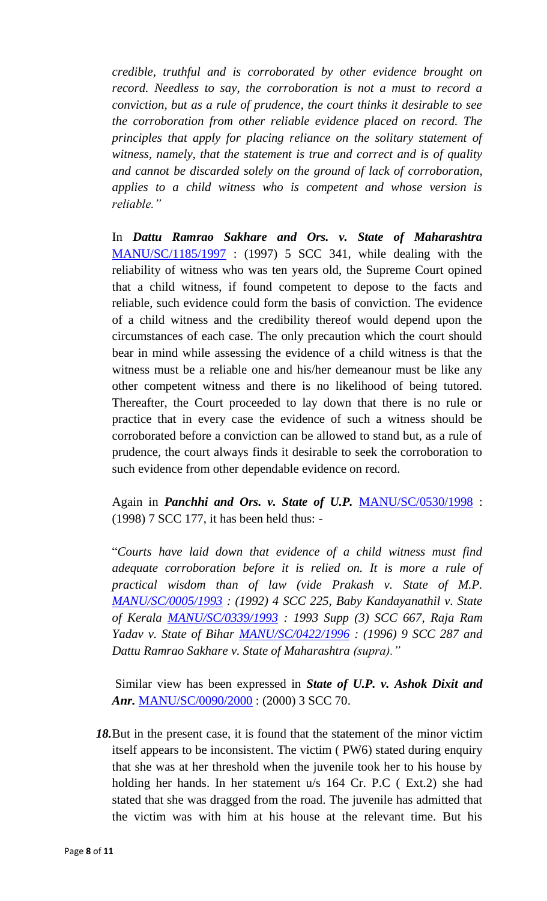*credible, truthful and is corroborated by other evidence brought on record. Needless to say, the corroboration is not a must to record a conviction, but as a rule of prudence, the court thinks it desirable to see the corroboration from other reliable evidence placed on record. The principles that apply for placing reliance on the solitary statement of witness, namely, that the statement is true and correct and is of quality and cannot be discarded solely on the ground of lack of corroboration, applies to a child witness who is competent and whose version is reliable."*

In *Dattu Ramrao Sakhare and Ors. v. State of Maharashtra* [MANU/SC/1185/1997](javascript:fnOpenGlobalPopUp() : (1997) 5 SCC 341, while dealing with the reliability of witness who was ten years old, the Supreme Court opined that a child witness, if found competent to depose to the facts and reliable, such evidence could form the basis of conviction. The evidence of a child witness and the credibility thereof would depend upon the circumstances of each case. The only precaution which the court should bear in mind while assessing the evidence of a child witness is that the witness must be a reliable one and his/her demeanour must be like any other competent witness and there is no likelihood of being tutored. Thereafter, the Court proceeded to lay down that there is no rule or practice that in every case the evidence of such a witness should be corroborated before a conviction can be allowed to stand but, as a rule of prudence, the court always finds it desirable to seek the corroboration to such evidence from other dependable evidence on record.

Again in *Panchhi and Ors. v. State of U.P.* [MANU/SC/0530/1998](javascript:fnOpenGlobalPopUp() : (1998) 7 SCC 177, it has been held thus: -

"*Courts have laid down that evidence of a child witness must find adequate corroboration before it is relied on. It is more a rule of practical wisdom than of law (vide Prakash v. State of M.P. [MANU/SC/0005/1993](javascript:fnOpenGlobalPopUp() : (1992) 4 SCC 225, Baby Kandayanathil v. State of Kerala [MANU/SC/0339/1993](javascript:fnOpenGlobalPopUp() : 1993 Supp (3) SCC 667, Raja Ram Yadav v. State of Bihar [MANU/SC/0422/1996](javascript:fnOpenGlobalPopUp() : (1996) 9 SCC 287 and Dattu Ramrao Sakhare v. State of Maharashtra (supra)."*

Similar view has been expressed in *State of U.P. v. Ashok Dixit and Anr.* [MANU/SC/0090/2000](javascript:fnOpenGlobalPopUp() : (2000) 3 SCC 70.

*18.*But in the present case, it is found that the statement of the minor victim itself appears to be inconsistent. The victim ( PW6) stated during enquiry that she was at her threshold when the juvenile took her to his house by holding her hands. In her statement u/s 164 Cr. P.C ( Ext.2) she had stated that she was dragged from the road. The juvenile has admitted that the victim was with him at his house at the relevant time. But his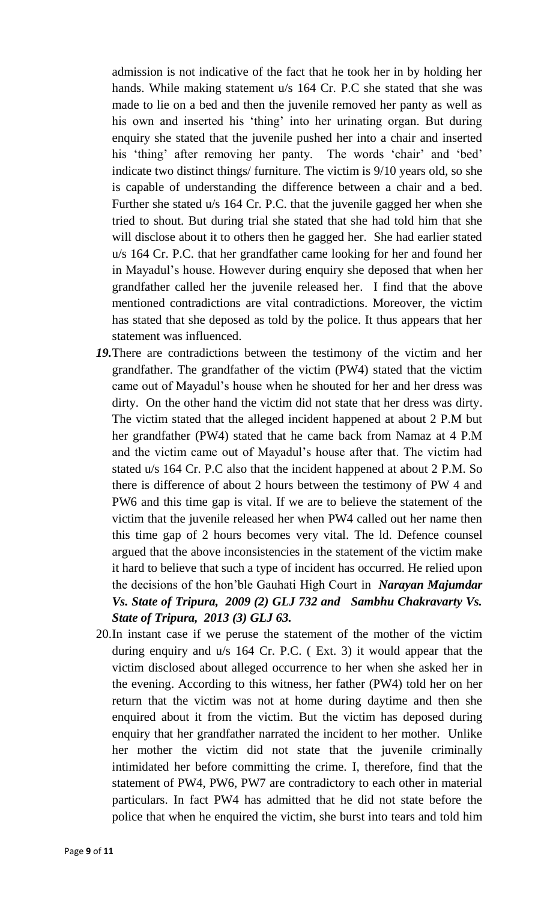admission is not indicative of the fact that he took her in by holding her hands. While making statement u/s 164 Cr. P.C she stated that she was made to lie on a bed and then the juvenile removed her panty as well as his own and inserted his 'thing' into her urinating organ. But during enquiry she stated that the juvenile pushed her into a chair and inserted his 'thing' after removing her panty. The words 'chair' and 'bed' indicate two distinct things/ furniture. The victim is 9/10 years old, so she is capable of understanding the difference between a chair and a bed. Further she stated u/s 164 Cr. P.C. that the juvenile gagged her when she tried to shout. But during trial she stated that she had told him that she will disclose about it to others then he gagged her. She had earlier stated u/s 164 Cr. P.C. that her grandfather came looking for her and found her in Mayadul"s house. However during enquiry she deposed that when her grandfather called her the juvenile released her. I find that the above mentioned contradictions are vital contradictions. Moreover, the victim has stated that she deposed as told by the police. It thus appears that her statement was influenced.

- *19.*There are contradictions between the testimony of the victim and her grandfather. The grandfather of the victim (PW4) stated that the victim came out of Mayadul"s house when he shouted for her and her dress was dirty. On the other hand the victim did not state that her dress was dirty. The victim stated that the alleged incident happened at about 2 P.M but her grandfather (PW4) stated that he came back from Namaz at 4 P.M and the victim came out of Mayadul"s house after that. The victim had stated u/s 164 Cr. P.C also that the incident happened at about 2 P.M. So there is difference of about 2 hours between the testimony of PW 4 and PW6 and this time gap is vital. If we are to believe the statement of the victim that the juvenile released her when PW4 called out her name then this time gap of 2 hours becomes very vital. The ld. Defence counsel argued that the above inconsistencies in the statement of the victim make it hard to believe that such a type of incident has occurred. He relied upon the decisions of the hon"ble Gauhati High Court in *Narayan Majumdar Vs. State of Tripura, 2009 (2) GLJ 732 and Sambhu Chakravarty Vs. State of Tripura, 2013 (3) GLJ 63.*
- 20.In instant case if we peruse the statement of the mother of the victim during enquiry and u/s 164 Cr. P.C. ( Ext. 3) it would appear that the victim disclosed about alleged occurrence to her when she asked her in the evening. According to this witness, her father (PW4) told her on her return that the victim was not at home during daytime and then she enquired about it from the victim. But the victim has deposed during enquiry that her grandfather narrated the incident to her mother. Unlike her mother the victim did not state that the juvenile criminally intimidated her before committing the crime. I, therefore, find that the statement of PW4, PW6, PW7 are contradictory to each other in material particulars. In fact PW4 has admitted that he did not state before the police that when he enquired the victim, she burst into tears and told him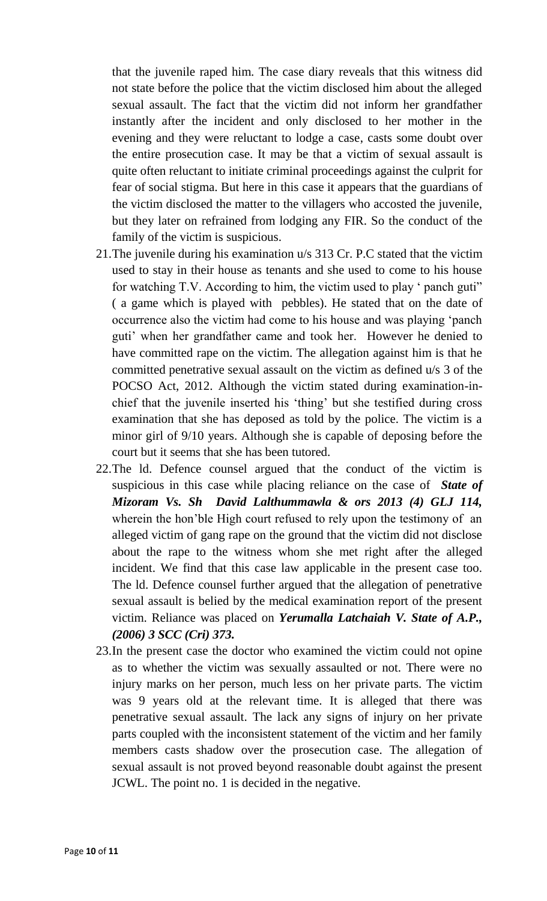that the juvenile raped him. The case diary reveals that this witness did not state before the police that the victim disclosed him about the alleged sexual assault. The fact that the victim did not inform her grandfather instantly after the incident and only disclosed to her mother in the evening and they were reluctant to lodge a case, casts some doubt over the entire prosecution case. It may be that a victim of sexual assault is quite often reluctant to initiate criminal proceedings against the culprit for fear of social stigma. But here in this case it appears that the guardians of the victim disclosed the matter to the villagers who accosted the juvenile, but they later on refrained from lodging any FIR. So the conduct of the family of the victim is suspicious.

- 21.The juvenile during his examination u/s 313 Cr. P.C stated that the victim used to stay in their house as tenants and she used to come to his house for watching T.V. According to him, the victim used to play " panch guti" ( a game which is played with pebbles). He stated that on the date of occurrence also the victim had come to his house and was playing "panch guti" when her grandfather came and took her. However he denied to have committed rape on the victim. The allegation against him is that he committed penetrative sexual assault on the victim as defined u/s 3 of the POCSO Act, 2012. Although the victim stated during examination-inchief that the juvenile inserted his "thing" but she testified during cross examination that she has deposed as told by the police. The victim is a minor girl of 9/10 years. Although she is capable of deposing before the court but it seems that she has been tutored.
- 22.The ld. Defence counsel argued that the conduct of the victim is suspicious in this case while placing reliance on the case of *State of Mizoram Vs. Sh David Lalthummawla & ors 2013 (4) GLJ 114,* wherein the hon"ble High court refused to rely upon the testimony of an alleged victim of gang rape on the ground that the victim did not disclose about the rape to the witness whom she met right after the alleged incident. We find that this case law applicable in the present case too. The ld. Defence counsel further argued that the allegation of penetrative sexual assault is belied by the medical examination report of the present victim. Reliance was placed on *Yerumalla Latchaiah V. State of A.P., (2006) 3 SCC (Cri) 373.*
- 23.In the present case the doctor who examined the victim could not opine as to whether the victim was sexually assaulted or not. There were no injury marks on her person, much less on her private parts. The victim was 9 years old at the relevant time. It is alleged that there was penetrative sexual assault. The lack any signs of injury on her private parts coupled with the inconsistent statement of the victim and her family members casts shadow over the prosecution case. The allegation of sexual assault is not proved beyond reasonable doubt against the present JCWL. The point no. 1 is decided in the negative.